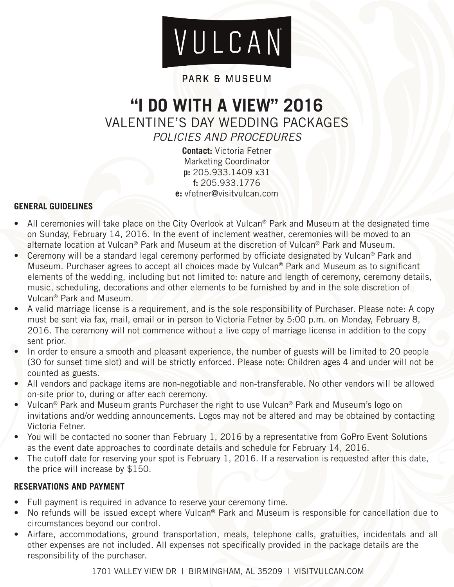# VULCAN

## PARK & MUSEUM

## **"I DO WITH A VIEW" 2016** VALENTINE'S DAY WEDDING PACKAGES *POLICIES AND PROCEDURES*

**Contact:** Victoria Fetner Marketing Coordinator **p:** 205.933.1409 x31 **f:** 205.933.1776 **e:** vfetner@visitvulcan.com

## **GENERAL GUIDELINES**

- All ceremonies will take place on the City Overlook at Vulcan® Park and Museum at the designated time on Sunday, February 14, 2016. In the event of inclement weather, ceremonies will be moved to an alternate location at Vulcan® Park and Museum at the discretion of Vulcan® Park and Museum.
- Ceremony will be a standard legal ceremony performed by officiate designated by Vulcan® Park and Museum. Purchaser agrees to accept all choices made by Vulcan® Park and Museum as to significant elements of the wedding, including but not limited to: nature and length of ceremony, ceremony details, music, scheduling, decorations and other elements to be furnished by and in the sole discretion of Vulcan® Park and Museum.
- A valid marriage license is a requirement, and is the sole responsibility of Purchaser. Please note: A copy must be sent via fax, mail, email or in person to Victoria Fetner by 5:00 p.m. on Monday, February 8, 2016. The ceremony will not commence without a live copy of marriage license in addition to the copy sent prior.
- In order to ensure a smooth and pleasant experience, the number of guests will be limited to 20 people (30 for sunset time slot) and will be strictly enforced. Please note: Children ages 4 and under will not be counted as guests.
- All vendors and package items are non-negotiable and non-transferable. No other vendors will be allowed on-site prior to, during or after each ceremony.
- Vulcan® Park and Museum grants Purchaser the right to use Vulcan® Park and Museum's logo on invitations and/or wedding announcements. Logos may not be altered and may be obtained by contacting Victoria Fetner.
- You will be contacted no sooner than February 1, 2016 by a representative from GoPro Event Solutions as the event date approaches to coordinate details and schedule for February 14, 2016.
- The cutoff date for reserving your spot is February 1, 2016. If a reservation is requested after this date, the price will increase by \$150.

## **RESERVATIONS AND PAYMENT**

- Full payment is required in advance to reserve your ceremony time.
- No refunds will be issued except where Vulcan® Park and Museum is responsible for cancellation due to circumstances beyond our control.
- Airfare, accommodations, ground transportation, meals, telephone calls, gratuities, incidentals and all other expenses are not included. All expenses not specifically provided in the package details are the responsibility of the purchaser.